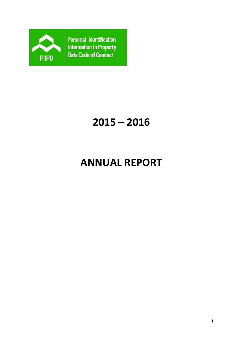

Personal Identification Information in Property Data Code of Conduct

# **2015 – 2016**

# **ANNUAL REPORT**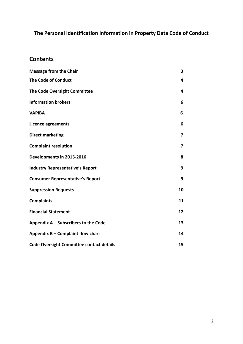# **The Personal Identification Information in Property Data Code of Conduct**

# **Contents**

| <b>Message from the Chair</b>                   | 3  |
|-------------------------------------------------|----|
| <b>The Code of Conduct</b>                      | 4  |
| The Code Oversight Committee                    | 4  |
| <b>Information brokers</b>                      | 6  |
| <b>VAPIBA</b>                                   | 6  |
| <b>Licence agreements</b>                       | 6  |
| <b>Direct marketing</b>                         | 7  |
| <b>Complaint resolution</b>                     | 7  |
| Developments in 2015-2016                       | 8  |
| <b>Industry Representative's Report</b>         | 9  |
| <b>Consumer Representative's Report</b>         | 9  |
| <b>Suppression Requests</b>                     | 10 |
| <b>Complaints</b>                               | 11 |
| <b>Financial Statement</b>                      | 12 |
| Appendix A – Subscribers to the Code            | 13 |
| Appendix B - Complaint flow chart               | 14 |
| <b>Code Oversight Committee contact details</b> | 15 |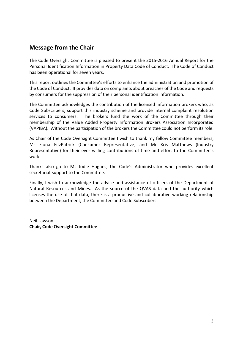## **Message from the Chair**

The Code Oversight Committee is pleased to present the 2015-2016 Annual Report for the Personal Identification Information in Property Data Code of Conduct. The Code of Conduct has been operational for seven years.

This report outlines the Committee's efforts to enhance the administration and promotion of the Code of Conduct. It provides data on complaints about breaches of the Code and requests by consumers for the suppression of their personal identification information.

The Committee acknowledges the contribution of the licensed information brokers who, as Code Subscribers, support this industry scheme and provide internal complaint resolution services to consumers. The brokers fund the work of the Committee through their membership of the Value Added Property Information Brokers Association Incorporated (VAPIBA). Without the participation of the brokers the Committee could not perform its role.

As Chair of the Code Oversight Committee I wish to thank my fellow Committee members, Ms Fiona FitzPatrick (Consumer Representative) and Mr Kris Matthews (Industry Representative) for their ever willing contributions of time and effort to the Committee's work.

Thanks also go to Ms Jodie Hughes, the Code's Administrator who provides excellent secretariat support to the Committee.

Finally, I wish to acknowledge the advice and assistance of officers of the Department of Natural Resources and Mines. As the source of the QVAS data and the authority which licenses the use of that data, there is a productive and collaborative working relationship between the Department, the Committee and Code Subscribers.

Neil Lawson **Chair, Code Oversight Committee**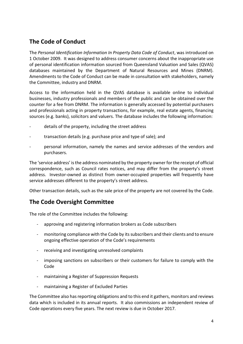# **The Code of Conduct**

The *Personal Identification Information In Property Data Code of Conduct*, was introduced on 1 October 2009. It was designed to address consumer concerns about the inappropriate use of personal identification information sourced from Queensland Valuation and Sales (QVAS) databases maintained by the Department of Natural Resources and Mines (DNRM). Amendments to the Code of Conduct can be made in consultation with stakeholders, namely the Committee, industry and DNRM.

Access to the information held in the QVAS database is available online to individual businesses, industry professionals and members of the public and can be obtained over the counter for a fee from DNRM. The information is generally accessed by potential purchasers and professionals acting in property transactions, for example, real estate agents, financing sources (e.g. banks), solicitors and valuers. The database includes the following information:

- details of the property, including the street address
- transaction details (e.g. purchase price and type of sale); and
- personal information, namely the names and service addresses of the vendors and purchasers.

The 'service address' is the address nominated by the property owner for the receipt of official correspondence, such as Council rates notices, and may differ from the property's street address. Investor-owned as distinct from owner-occupied properties will frequently have service addresses different to the property's street address.

Other transaction details, such as the sale price of the property are not covered by the Code.

## **The Code Oversight Committee**

The role of the Committee includes the following:

- approving and registering information brokers as Code subscribers
- monitoring compliance with the Code by its subscribers and their clients and to ensure ongoing effective operation of the Code's requirements
- receiving and investigating unresolved complaints
- imposing sanctions on subscribers or their customers for failure to comply with the Code
- maintaining a Register of Suppression Requests
- maintaining a Register of Excluded Parties

The Committee also has reporting obligations and to this end it gathers, monitors and reviews data which is included in its annual reports. It also commissions an independent review of Code operations every five years. The next review is due in October 2017.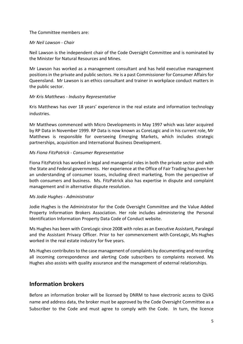#### The Committee members are:

#### *Mr Neil Lawson - Chair*

Neil Lawson is the independent chair of the Code Oversight Committee and is nominated by the Minister for Natural Resources and Mines.

Mr Lawson has worked as a management consultant and has held executive management positions in the private and public sectors. He is a past Commissioner for Consumer Affairs for Queensland. Mr Lawson is an ethics consultant and trainer in workplace conduct matters in the public sector.

#### *Mr Kris Matthews - Industry Representative*

Kris Matthews has over 18 years' experience in the real estate and information technology industries.

Mr Matthews commenced with Micro Developments in May 1997 which was later acquired by RP Data in November 1999. RP Data is now known as CoreLogic and in his current role, Mr Matthews is responsible for overseeing Emerging Markets, which includes strategic partnerships, acquisition and International Business Development.

#### *Ms Fiona FitzPatrick - Consumer Representative*

Fiona FitzPatrick has worked in legal and managerial roles in both the private sector and with the State and Federal governments. Her experience at the Office of Fair Trading has given her an understanding of consumer issues, including direct marketing, from the perspective of both consumers and business. Ms. FitzPatrick also has expertise in dispute and complaint management and in alternative dispute resolution.

#### *Ms Jodie Hughes - Administrator*

Jodie Hughes is the Administrator for the Code Oversight Committee and the Value Added Property Information Brokers Association. Her role includes administering the Personal Identification Information Property Data Code of Conduct website.

Ms Hughes has been with CoreLogic since 2008 with roles as an Executive Assistant, Paralegal and the Assistant Privacy Officer. Prior to her commencement with CoreLogic, Ms Hughes worked in the real estate industry for five years.

Ms Hughes contributes to the case management of complaints by documenting and recording all incoming correspondence and alerting Code subscribers to complaints received. Ms Hughes also assists with quality assurance and the management of external relationships.

### **Information brokers**

Before an information broker will be licensed by DNRM to have electronic access to QVAS name and address data, the broker must be approved by the Code Oversight Committee as a Subscriber to the Code and must agree to comply with the Code. In turn, the licence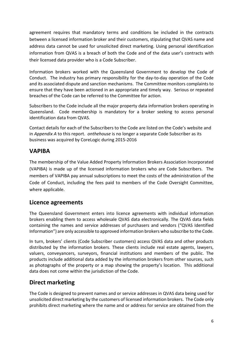agreement requires that mandatory terms and conditions be included in the contracts between a licensed information broker and their customers, stipulating that QVAS name and address data cannot be used for unsolicited direct marketing. Using personal identification information from QVAS is a breach of both the Code and of the data user's contracts with their licensed data provider who is a Code Subscriber.

Information brokers worked with the Queensland Government to develop the Code of Conduct. The industry has primary responsibility for the day-to-day operation of the Code and its associated dispute and sanction mechanisms. The Committee monitors complaints to ensure that they have been actioned in an appropriate and timely way. Serious or repeated breaches of the Code can be referred to the Committee for action.

Subscribers to the Code include all the major property data information brokers operating in Queensland. Code membership is mandatory for a broker seeking to access personal identification data from QVAS.

Contact details for each of the Subscribers to the Code are listed on the Code's website and in *Appendix A* to this report. *onthehouse* is no longer a separate Code Subscriber as its business was acquired by CoreLogic during 2015-2016

# **VAPIBA**

The membership of the Value Added Property Information Brokers Association Incorporated (VAPIBA) is made up of the licensed information brokers who are Code Subscribers. The members of VAPIBA pay annual subscriptions to meet the costs of the administration of the Code of Conduct, including the fees paid to members of the Code Oversight Committee, where applicable.

## **Licence agreements**

The Queensland Government enters into licence agreements with individual information brokers enabling them to access wholesale QVAS data electronically. The QVAS data fields containing the names and service addresses of purchasers and vendors ("QVAS Identified Information") are only accessible to approved information brokers who subscribe to the Code.

In turn, brokers' clients (Code Subscriber customers) access QVAS data and other products distributed by the information brokers. These clients include real estate agents, lawyers, valuers, conveyancers, surveyors, financial institutions and members of the public. The products include additional data added by the information brokers from other sources, such as photographs of the property or a map showing the property's location. This additional data does not come within the jurisdiction of the Code.

# **Direct marketing**

The Code is designed to prevent names and or service addresses in QVAS data being used for unsolicited direct marketing by the customers of licensed information brokers. The Code only prohibits direct marketing where the name and or address for service are obtained from the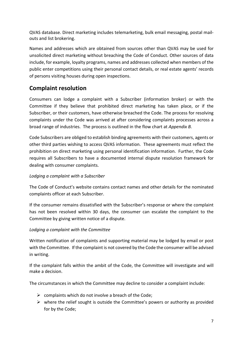QVAS database. Direct marketing includes telemarketing, bulk email messaging, postal mailouts and list brokering.

Names and addresses which are obtained from sources other than QVAS may be used for unsolicited direct marketing without breaching the Code of Conduct. Other sources of data include, for example, loyalty programs, names and addresses collected when members of the public enter competitions using their personal contact details, or real estate agents' records of persons visiting houses during open inspections.

# **Complaint resolution**

Consumers can lodge a complaint with a Subscriber (information broker) or with the Committee if they believe that prohibited direct marketing has taken place, or if the Subscriber, or their customers, have otherwise breached the Code. The process for resolving complaints under the Code was arrived at after considering complaints processes across a broad range of industries. The process is outlined in the flow chart at *Appendix B.*

Code Subscribers are obliged to establish binding agreements with their customers, agents or other third parties wishing to access QVAS information. These agreements must reflect the prohibition on direct marketing using personal identification information. Further, the Code requires all Subscribers to have a documented internal dispute resolution framework for dealing with consumer complaints.

#### *Lodging a complaint with a Subscriber*

The Code of Conduct's website contains contact names and other details for the nominated complaints officer at each Subscriber.

If the consumer remains dissatisfied with the Subscriber's response or where the complaint has not been resolved within 30 days, the consumer can escalate the complaint to the Committee by giving written notice of a dispute.

#### *Lodging a complaint with the Committee*

Written notification of complaints and supporting material may be lodged by email or post with the Committee. If the complaint is not covered by the Code the consumer will be advised in writing.

If the complaint falls within the ambit of the Code, the Committee will investigate and will make a decision.

The circumstances in which the Committee may decline to consider a complaint include:

- $\triangleright$  complaints which do not involve a breach of the Code;
- $\triangleright$  where the relief sought is outside the Committee's powers or authority as provided for by the Code;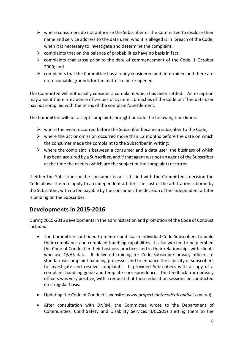- $\triangleright$  where consumers do not authorise the Subscriber or the Committee to disclose their name and service address to the data user, who it is alleged is in breach of the Code, when it is necessary to investigate and determine the complaint;
- $\triangleright$  complaints that on the balance of probabilities have no basis in fact;
- $\triangleright$  complaints that arose prior to the date of commencement of the Code, 1 October 2009; and
- $\triangleright$  complaints that the Committee has already considered and determined and there are no reasonable grounds for the matter to be re-opened.

The Committee will not usually consider a complaint which has been settled. An exception may arise if there is evidence of serious or systemic breaches of the Code or if the data user has not complied with the terms of the complaint's settlement.

The Committee will not accept complaints brought outside the following time limits:

- $\triangleright$  where the event occurred before the Subscriber became a subscriber to the Code;
- $\triangleright$  where the act or omission occurred more than 12 months before the date on which the consumer made the complaint to the Subscriber in writing;
- $\triangleright$  where the complaint is between a consumer and a data user, the business of which has been acquired by a Subscriber, and if that agent was not an agent of the Subscriber at the time the events (which are the subject of the complaint) occurred.

If either the Subscriber or the consumer is not satisfied with the Committee's decision the Code allows them to apply to an independent arbiter. The cost of the arbitration is borne by the Subscriber, with no fee payable by the consumer. The decision of the independent arbiter is binding on the Subscriber.

# **Developments in 2015-2016**

During 2015-2016 developments in the administration and promotion of the Code of Conduct included:

- The Committee continued to mentor and coach individual Code Subscribers to build their compliance and complaint handling capabilities. It also worked to help embed the Code of Conduct in their business practices and in their relationships with clients who use QVAS data. It delivered training for Code Subscriber privacy officers to standardise complaint handling processes and to enhance the capacity of subscribers to investigate and resolve complaints. It provided Subscribers with a copy of a complaint handling guide and template correspondence. The feedback from privacy officers was very positive, with a request that these education sessions be conducted on a regular basis.
- Updating the Code of Conduct's website (*[www.propertydatacodeofconduct.com.au](http://www.propertydatacodeofconduct.com.au/)*).
- After consultation with DNRM, the Committee wrote to the Department of Communities, Child Safety and Disability Services (DCCSDS) alerting them to the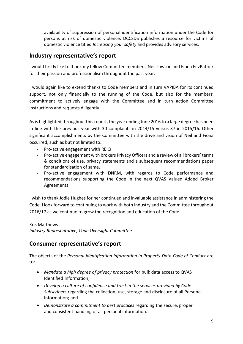availability of suppression of personal identification information under the Code for persons at risk of domestic violence. DCCSDS publishes a resource for victims of domestic violence titled *Increasing your safety* and provides advisory services.

## **Industry representative's report**

I would firstly like to thank my fellow Committee members, Neil Lawson and Fiona FitzPatrick for their passion and professionalism throughout the past year.

I would again like to extend thanks to Code members and in turn VAPIBA for its continued support, not only financially to the running of the Code, but also for the members' commitment to actively engage with the Committee and in turn action Committee instructions and requests diligently.

As is highlighted throughout this report, the year ending June 2016 to a large degree has been in line with the previous year with 30 complaints in 2014/15 versus 37 in 2015/16. Other significant accomplishments by the Committee with the drive and vision of Neil and Fiona occurred, such as but not limited to:

- Pro-active engagement with REIQ
- Pro-active engagement with brokers Privacy Officers and a review of all brokers' terms & conditions of use, privacy statements and a subsequent recommendations paper for standardisation of same.
- Pro-active engagement with DNRM, with regards to Code performance and recommendations supporting the Code in the next QVAS Valued Added Broker Agreements

I wish to thank Jodie Hughes for her continued and invaluable assistance in administering the Code. I look forward to continuing to work with both Industry and the Committee throughout 2016/17 as we continue to grow the recognition and education of the Code.

Kris Matthews *Industry Representative, Code Oversight Committee*

# **Consumer representative's report**

The objects of the *Personal Identification Information in Property Data Code of Conduct* are to:

- *Mandate a high degree of privacy protection* for bulk data access to QVAS Identified Information;
- *Develop a culture of confidence and trust in the services provided by Code Subscribers* regarding the collection, use, storage and disclosure of all Personal Information; and
- *Demonstrate a commitment to best practices* regarding the secure, proper and consistent handling of all personal information.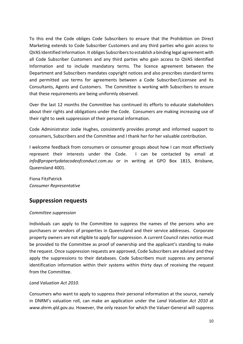To this end the Code obliges Code Subscribers to ensure that the Prohibition on Direct Marketing extends to Code Subscriber Customers and any third parties who gain access to QVAS Identified Information. It obliges Subscribers to establish a binding legal agreement with all Code Subscriber Customers and any third parties who gain access to QVAS Identified Information and to include mandatory terms. The licence agreement between the Department and Subscribers mandates copyright notices and also prescribes standard terms and permitted use terms for agreements between a Code Subscriber/Licensee and its Consultants, Agents and Customers. The Committee is working with Subscribers to ensure that these requirements are being uniformly observed.

Over the last 12 months the Committee has continued its efforts to educate stakeholders about their rights and obligations under the Code. Consumers are making increasing use of their right to seek suppression of their personal information.

Code Administrator Jodie Hughes, consistently provides prompt and informed support to consumers, Subscribers and the Committee and I thank her for her valuable contribution.

I welcome feedback from consumers or consumer groups about how I can most effectively represent their interests under the Code. I can be contacted by email at *info@propertydatacodeofconduct.com.au* or in writing at GPO Box 1815, Brisbane, Queensland 4001.

Fiona FitzPatrick *Consumer Representative*

# **Suppression requests**

#### *Committee suppression*

Individuals can apply to the Committee to suppress the names of the persons who are purchasers or vendors of properties in Queensland and their service addresses. Corporate property owners are not eligible to apply for suppression. A current Council rates notice must be provided to the Committee as proof of ownership and the applicant's standing to make the request. Once suppression requests are approved, Code Subscribers are advised and they apply the suppressions to their databases. Code Subscribers must suppress any personal identification information within their systems within thirty days of receiving the request from the Committee.

#### *Land Valuation Act 2010.*

Consumers who want to apply to suppress their personal information at the source, namely in DNRM's valuation roll, can make an application under the *Land Valuation Act 2010* at *www.dnrm.qld.gov.au.* However, the only reason for which the Valuer-General will suppress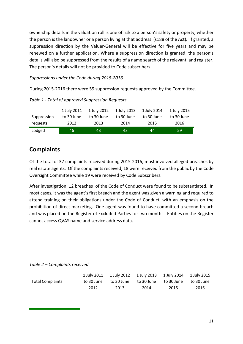ownership details in the valuation roll is one of risk to a person's safety or property, whether the person is the landowner or a person living at that address (s188 of the Act). If granted, a suppression direction by the Valuer-General will be effective for five years and may be renewed on a further application. Where a suppression direction is granted, the person's details will also be suppressed from the results of a name search of the relevant land register. The person's details will not be provided to Code subscribers.

*Suppressions under the Code during 2015-2016*

During 2015-2016 there were 59 suppression requests approved by the Committee.

|             | 1 July 2011 | 1 July 2012 | 1 July 2013 | 1 July 2014 | 1 July 2015 |
|-------------|-------------|-------------|-------------|-------------|-------------|
| Suppression | to 30 June  | to 30 June  | to 30 June  | to 30 June  | to 30 June  |
| requests    | 2012        | 2013        | 2014        | 2015        | 2016        |
| Lodged      | 46          | 43          | 43          | 44          | 59          |

*Table 1 - Total of approved Suppression Requests*

# **Complaints**

Of the total of 37 complaints received during 2015-2016, most involved alleged breaches by real estate agents. Of the complaints received, 18 were received from the public by the Code Oversight Committee while 19 were received by Code Subscribers.

After investigation, 12 breaches of the Code of Conduct were found to be substantiated. In most cases, it was the agent's first breach and the agent was given a warning and required to attend training on their obligations under the Code of Conduct, with an emphasis on the prohibition of direct marketing. One agent was found to have committed a second breach and was placed on the Register of Excluded Parties for two months. Entities on the Register cannot access QVAS name and service address data.

*Table 2 – Complaints received*

|                         |            |      | 1 July 2011 1 July 2012 1 July 2013 1 July 2014 1 July 2015 |      |                       |
|-------------------------|------------|------|-------------------------------------------------------------|------|-----------------------|
| <b>Total Complaints</b> | to 30 June |      | to 30 June to 30 June                                       |      | to 30 June to 30 June |
|                         | 2012       | 2013 | 2014                                                        | 2015 | 2016                  |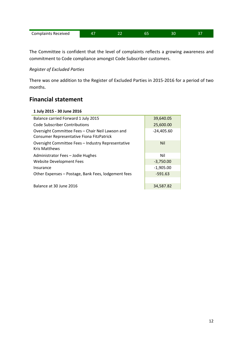| <b>Complaints Received</b> | . . |  |  |  |  |
|----------------------------|-----|--|--|--|--|
|----------------------------|-----|--|--|--|--|

The Committee is confident that the level of complaints reflects a growing awareness and commitment to Code compliance amongst Code Subscriber customers.

#### *Register of Excluded Parties*

There was one addition to the Register of Excluded Parties in 2015-2016 for a period of two months.

### **Financial statement**

#### **1 July 2015 - 30 June 2016**

| Balance carried Forward 1 July 2015                                                           | 39,640.05    |
|-----------------------------------------------------------------------------------------------|--------------|
| <b>Code Subscriber Contributions</b>                                                          | 25,600.00    |
| Oversight Committee Fees - Chair Neil Lawson and<br>Consumer Representative Fiona FitzPatrick | $-24,405.60$ |
| Oversight Committee Fees - Industry Representative<br><b>Kris Matthews</b>                    | <b>Nil</b>   |
| Administrator Fees - Jodie Hughes                                                             | Nil          |
| Website Development Fees                                                                      | $-3,750.00$  |
| Insurance                                                                                     | $-1,905.00$  |
| Other Expenses - Postage, Bank Fees, lodgement fees                                           | $-591.63$    |
|                                                                                               |              |
| Balance at 30 June 2016                                                                       | 34,587.82    |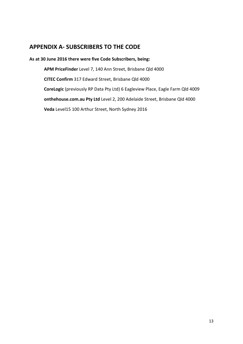## **APPENDIX A- SUBSCRIBERS TO THE CODE**

#### **As at 30 June 2016 there were five Code Subscribers, being:**

**APM PriceFinder** Level 7, 140 Ann Street, Brisbane Qld 4000 **CITEC Confirm** 317 Edward Street, Brisbane Qld 4000 **CoreLogic** (previously RP Data Pty Ltd) 6 Eagleview Place, Eagle Farm Qld 4009 **onthehouse.com.au Pty Ltd** Level 2, 200 Adelaide Street, Brisbane Qld 4000 **Veda** Level15 100 Arthur Street, North Sydney 2016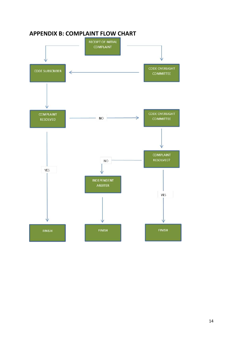

## **APPENDIX B: COMPLAINT FLOW CHART**